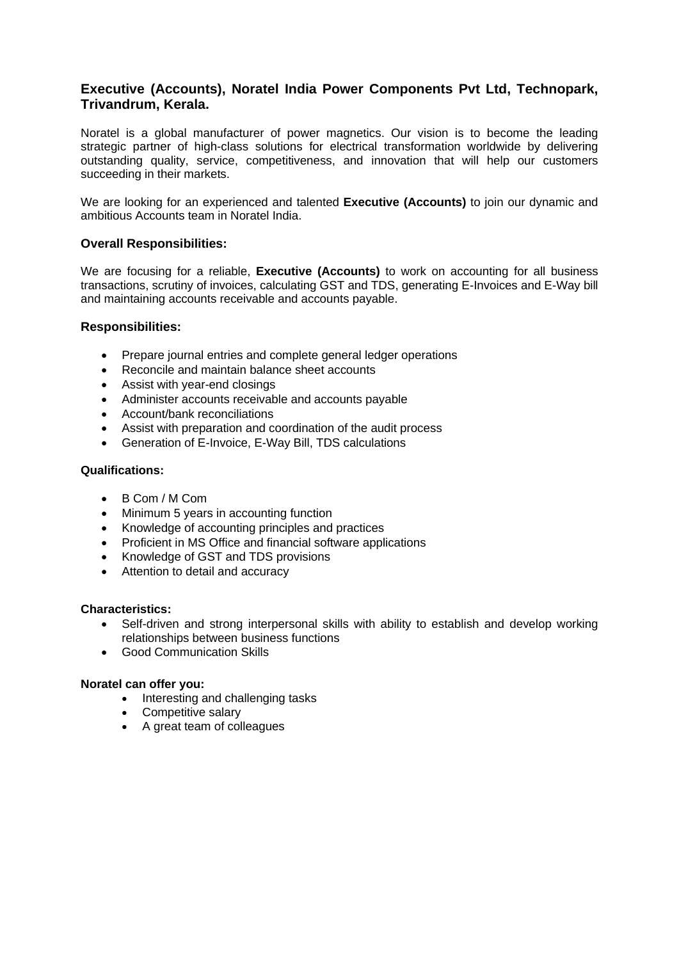# **Executive (Accounts), Noratel India Power Components Pvt Ltd, Technopark, Trivandrum, Kerala.**

Noratel is a global manufacturer of power magnetics. Our vision is to become the leading strategic partner of high-class solutions for electrical transformation worldwide by delivering outstanding quality, service, competitiveness, and innovation that will help our customers succeeding in their markets.

We are looking for an experienced and talented **Executive (Accounts)** to join our dynamic and ambitious Accounts team in Noratel India.

## **Overall Responsibilities:**

We are focusing for a reliable, **Executive (Accounts)** to work on accounting for all business transactions, scrutiny of invoices, calculating GST and TDS, generating E-Invoices and E-Way bill and maintaining accounts receivable and accounts payable.

### **Responsibilities:**

- Prepare journal entries and complete general ledger operations
- Reconcile and maintain balance sheet accounts
- Assist with year-end closings
- Administer accounts receivable and accounts payable
- Account/bank reconciliations
- Assist with preparation and coordination of the audit process
- Generation of E-Invoice, E-Way Bill, TDS calculations

### **Qualifications:**

- B Com / M Com
- Minimum 5 years in accounting function
- Knowledge of accounting principles and practices
- Proficient in MS Office and financial software applications
- Knowledge of GST and TDS provisions
- Attention to detail and accuracy

### **Characteristics:**

- Self-driven and strong interpersonal skills with ability to establish and develop working relationships between business functions
- Good Communication Skills

### **Noratel can offer you:**

- Interesting and challenging tasks
- Competitive salary
- A great team of colleagues